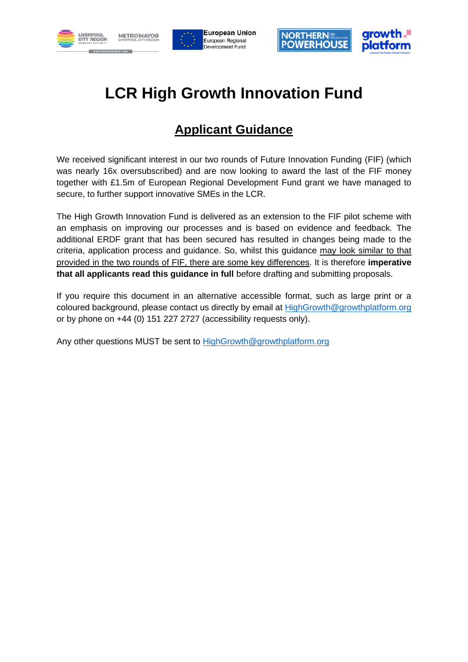





# **LCR High Growth Innovation Fund**

# **Applicant Guidance**

We received significant interest in our two rounds of Future Innovation Funding (FIF) (which was nearly 16x oversubscribed) and are now looking to award the last of the FIF money together with £1.5m of European Regional Development Fund grant we have managed to secure, to further support innovative SMEs in the LCR.

The High Growth Innovation Fund is delivered as an extension to the FIF pilot scheme with an emphasis on improving our processes and is based on evidence and feedback. The additional ERDF grant that has been secured has resulted in changes being made to the criteria, application process and guidance. So, whilst this guidance may look similar to that provided in the two rounds of FIF, there are some key differences. It is therefore **imperative that all applicants read this guidance in full** before drafting and submitting proposals.

If you require this document in an alternative accessible format, such as large print or a coloured background, please contact us directly by email at [HighGrowth@growthplatform.org](mailto:HighGrowth@growthplatform.org) or by phone on +44 (0) 151 227 2727 (accessibility requests only).

Any other questions MUST be sent to [HighGrowth@growthplatform.org](mailto:HighGrowth@growthplatform.org)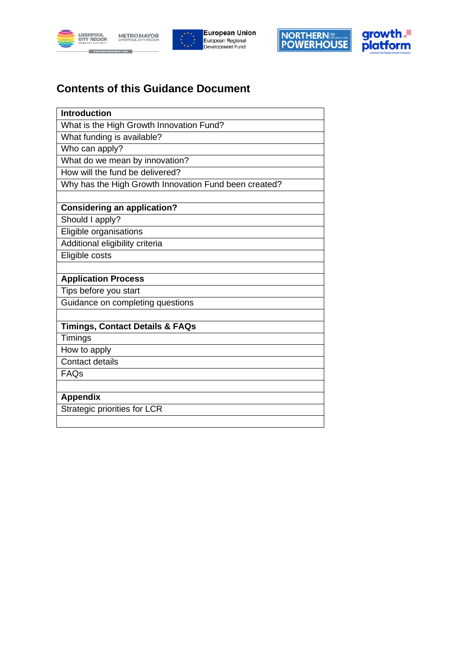







# **Contents of this Guidance Document**

| <b>Introduction</b>                                   |
|-------------------------------------------------------|
| What is the High Growth Innovation Fund?              |
| What funding is available?                            |
| Who can apply?                                        |
| What do we mean by innovation?                        |
| How will the fund be delivered?                       |
| Why has the High Growth Innovation Fund been created? |
|                                                       |
| <b>Considering an application?</b>                    |
| Should I apply?                                       |
| Eligible organisations                                |
| Additional eligibility criteria                       |
| Eligible costs                                        |
|                                                       |
| <b>Application Process</b>                            |
| Tips before you start                                 |
| Guidance on completing questions                      |
|                                                       |
| <b>Timings, Contact Details &amp; FAQs</b>            |
| Timings                                               |
| How to apply                                          |
| <b>Contact details</b>                                |
| FAQs                                                  |
|                                                       |
| <b>Appendix</b>                                       |
| Strategic priorities for LCR                          |
|                                                       |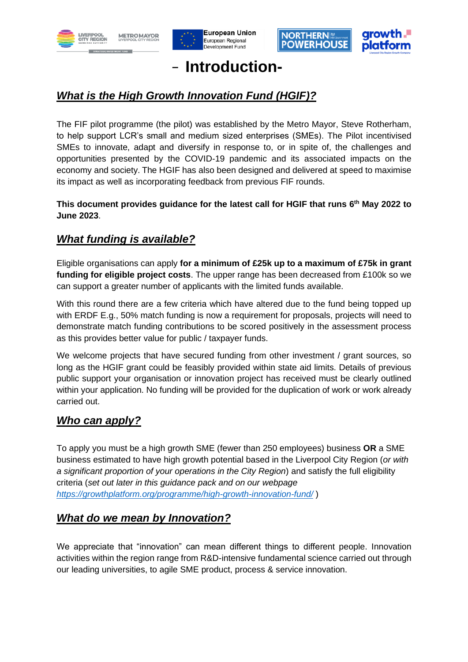







# **Introduction-**

# *What is the High Growth Innovation Fund (HGIF)?*

The FIF pilot programme (the pilot) was established by the Metro Mayor, Steve Rotherham, to help support LCR's small and medium sized enterprises (SMEs). The Pilot incentivised SMEs to innovate, adapt and diversify in response to, or in spite of, the challenges and opportunities presented by the COVID-19 pandemic and its associated impacts on the economy and society. The HGIF has also been designed and delivered at speed to maximise its impact as well as incorporating feedback from previous FIF rounds.

**This document provides guidance for the latest call for HGIF that runs 6 th May 2022 to June 2023**.

## *What funding is available?*

Eligible organisations can apply **for a minimum of £25k up to a maximum of £75k in grant funding for eligible project costs**. The upper range has been decreased from £100k so we can support a greater number of applicants with the limited funds available.

With this round there are a few criteria which have altered due to the fund being topped up with ERDF E.g., 50% match funding is now a requirement for proposals, projects will need to demonstrate match funding contributions to be scored positively in the assessment process as this provides better value for public / taxpayer funds.

We welcome projects that have secured funding from other investment / grant sources, so long as the HGIF grant could be feasibly provided within state aid limits. Details of previous public support your organisation or innovation project has received must be clearly outlined within your application. No funding will be provided for the duplication of work or work already carried out.

## *Who can apply?*

To apply you must be a high growth SME (fewer than 250 employees) business **OR** a SME business estimated to have high growth potential based in the Liverpool City Region (*or with a significant proportion of your operations in the City Region*) and satisfy the full eligibility criteria (*set out later in this guidance pack and on our webpage <https://growthplatform.org/programme/high-growth-innovation-fund/>* )

## *What do we mean by Innovation?*

We appreciate that "innovation" can mean different things to different people. Innovation activities within the region range from R&D-intensive fundamental science carried out through our leading universities, to agile SME product, process & service innovation.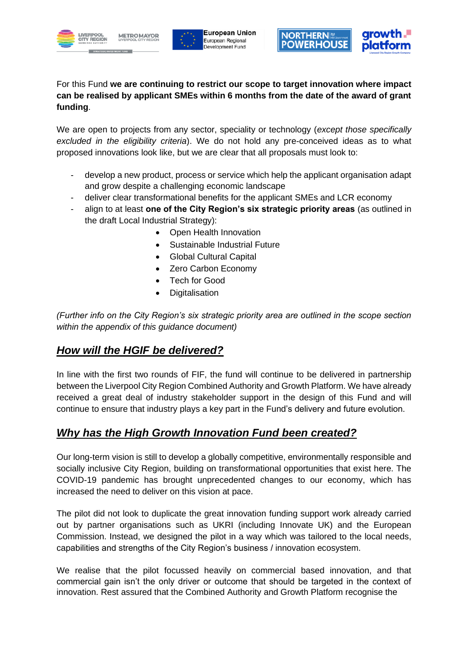







For this Fund **we are continuing to restrict our scope to target innovation where impact can be realised by applicant SMEs within 6 months from the date of the award of grant funding**.

We are open to projects from any sector, speciality or technology (*except those specifically excluded in the eligibility criteria*). We do not hold any pre-conceived ideas as to what proposed innovations look like, but we are clear that all proposals must look to:

- develop a new product, process or service which help the applicant organisation adapt and grow despite a challenging economic landscape
- deliver clear transformational benefits for the applicant SMEs and LCR economy
- align to at least **one of the City Region's six strategic priority areas** (as outlined in the draft Local Industrial Strategy):
	- Open Health Innovation
	- Sustainable Industrial Future
	- Global Cultural Capital
	- Zero Carbon Economy
	- Tech for Good
	- **Digitalisation**

*(Further info on the City Region's six strategic priority area are outlined in the scope section within the appendix of this guidance document)*

## *How will the HGIF be delivered?*

In line with the first two rounds of FIF, the fund will continue to be delivered in partnership between the Liverpool City Region Combined Authority and Growth Platform. We have already received a great deal of industry stakeholder support in the design of this Fund and will continue to ensure that industry plays a key part in the Fund's delivery and future evolution.

## *Why has the High Growth Innovation Fund been created?*

Our long-term vision is still to develop a globally competitive, environmentally responsible and socially inclusive City Region, building on transformational opportunities that exist here. The COVID-19 pandemic has brought unprecedented changes to our economy, which has increased the need to deliver on this vision at pace.

The pilot did not look to duplicate the great innovation funding support work already carried out by partner organisations such as UKRI (including Innovate UK) and the European Commission. Instead, we designed the pilot in a way which was tailored to the local needs, capabilities and strengths of the City Region's business / innovation ecosystem.

We realise that the pilot focussed heavily on commercial based innovation, and that commercial gain isn't the only driver or outcome that should be targeted in the context of innovation. Rest assured that the Combined Authority and Growth Platform recognise the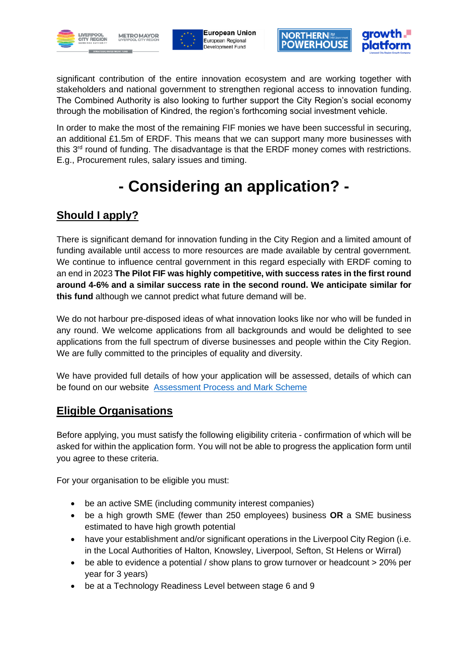





significant contribution of the entire innovation ecosystem and are working together with stakeholders and national government to strengthen regional access to innovation funding. The Combined Authority is also looking to further support the City Region's social economy through the mobilisation of Kindred, the region's forthcoming social investment vehicle.

In order to make the most of the remaining FIF monies we have been successful in securing, an additional £1.5m of ERDF. This means that we can support many more businesses with this 3<sup>rd</sup> round of funding. The disadvantage is that the ERDF money comes with restrictions. E.g., Procurement rules, salary issues and timing.

# **- Considering an application? -**

# **Should I apply?**

There is significant demand for innovation funding in the City Region and a limited amount of funding available until access to more resources are made available by central government. We continue to influence central government in this regard especially with ERDF coming to an end in 2023 **The Pilot FIF was highly competitive, with success rates in the first round around 4-6% and a similar success rate in the second round. We anticipate similar for this fund** although we cannot predict what future demand will be.

We do not harbour pre-disposed ideas of what innovation looks like nor who will be funded in any round. We welcome applications from all backgrounds and would be delighted to see applications from the full spectrum of diverse businesses and people within the City Region. We are fully committed to the principles of equality and diversity.

We have provided full details of how your application will be assessed, details of which can be found on our website [Assessment Process and Mark Scheme](https://growthplatform.org/wp-content/uploads/2022/05/ASSESSMENT-High-Growth-Programme-HGIF-Assessors-MARK-SCHEME.pdf)

## **Eligible Organisations**

Before applying, you must satisfy the following eligibility criteria - confirmation of which will be asked for within the application form. You will not be able to progress the application form until you agree to these criteria.

For your organisation to be eligible you must:

- be an active SME (including community interest companies)
- be a high growth SME (fewer than 250 employees) business **OR** a SME business estimated to have high growth potential
- have your establishment and/or significant operations in the Liverpool City Region (i.e. in the Local Authorities of Halton, Knowsley, Liverpool, Sefton, St Helens or Wirral)
- be able to evidence a potential / show plans to grow turnover or headcount > 20% per year for 3 years)
- be at a Technology Readiness Level between stage 6 and 9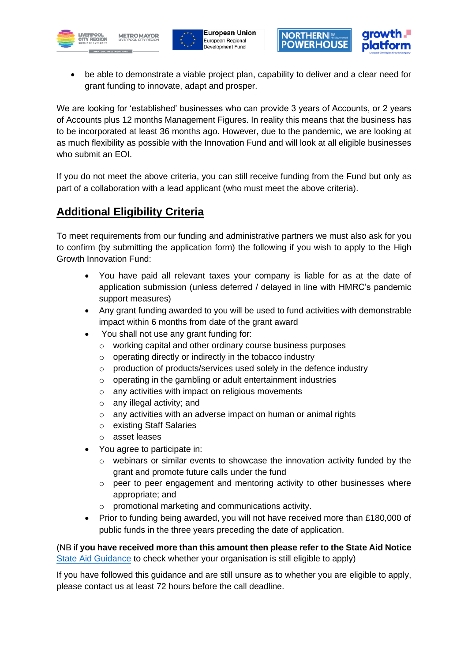





• be able to demonstrate a viable project plan, capability to deliver and a clear need for grant funding to innovate, adapt and prosper.

We are looking for 'established' businesses who can provide 3 years of Accounts, or 2 years of Accounts plus 12 months Management Figures. In reality this means that the business has to be incorporated at least 36 months ago. However, due to the pandemic, we are looking at as much flexibility as possible with the Innovation Fund and will look at all eligible businesses who submit an EOI.

If you do not meet the above criteria, you can still receive funding from the Fund but only as part of a collaboration with a lead applicant (who must meet the above criteria).

## **Additional Eligibility Criteria**

To meet requirements from our funding and administrative partners we must also ask for you to confirm (by submitting the application form) the following if you wish to apply to the High Growth Innovation Fund:

- You have paid all relevant taxes your company is liable for as at the date of application submission (unless deferred / delayed in line with HMRC's pandemic support measures)
- Any grant funding awarded to you will be used to fund activities with demonstrable impact within 6 months from date of the grant award
- You shall not use any grant funding for:
	- o working capital and other ordinary course business purposes
	- o operating directly or indirectly in the tobacco industry
	- $\circ$  production of products/services used solely in the defence industry
	- o operating in the gambling or adult entertainment industries
	- o any activities with impact on religious movements
	- o any illegal activity; and
	- o any activities with an adverse impact on human or animal rights
	- o existing Staff Salaries
	- o asset leases
- You agree to participate in:
	- $\circ$  webinars or similar events to showcase the innovation activity funded by the grant and promote future calls under the fund
	- $\circ$  peer to peer engagement and mentoring activity to other businesses where appropriate; and
	- o promotional marketing and communications activity.
- Prior to funding being awarded, you will not have received more than £180,000 of public funds in the three years preceding the date of application.

(NB if **you have received more than this amount then please refer to the State Aid Notice** [State Aid Guidance](https://growthplatform.org/wp-content/uploads/2022/05/STATE-AID-Briefing-Note.pdf) to check whether your organisation is still eligible to apply)

If you have followed this guidance and are still unsure as to whether you are eligible to apply, please contact us at least 72 hours before the call deadline.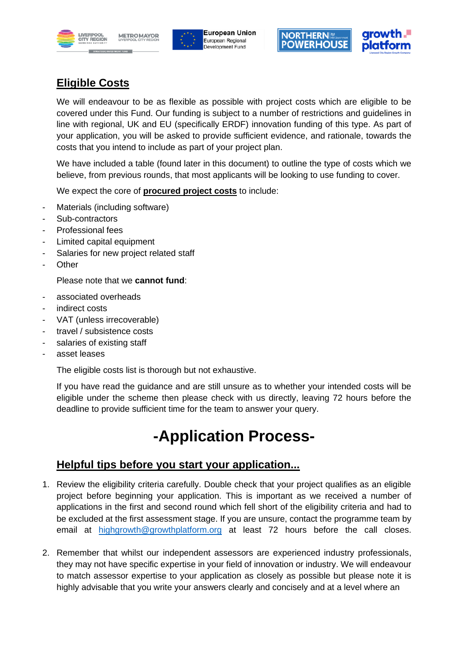







# **Eligible Costs**

We will endeavour to be as flexible as possible with project costs which are eligible to be covered under this Fund. Our funding is subject to a number of restrictions and guidelines in line with regional, UK and EU (specifically ERDF) innovation funding of this type. As part of your application, you will be asked to provide sufficient evidence, and rationale, towards the costs that you intend to include as part of your project plan.

We have included a table (found later in this document) to outline the type of costs which we believe, from previous rounds, that most applicants will be looking to use funding to cover.

We expect the core of **procured project costs** to include:

- Materials (including software)
- Sub-contractors
- Professional fees
- Limited capital equipment
- Salaries for new project related staff
- **Other**

Please note that we **cannot fund**:

- associated overheads
- indirect costs
- VAT (unless irrecoverable)
- travel / subsistence costs
- salaries of existing staff
- asset leases

The eligible costs list is thorough but not exhaustive.

If you have read the guidance and are still unsure as to whether your intended costs will be eligible under the scheme then please check with us directly, leaving 72 hours before the deadline to provide sufficient time for the team to answer your query.

# **-Application Process-**

## **Helpful tips before you start your application...**

- 1. Review the eligibility criteria carefully. Double check that your project qualifies as an eligible project before beginning your application. This is important as we received a number of applications in the first and second round which fell short of the eligibility criteria and had to be excluded at the first assessment stage. If you are unsure, contact the programme team by email at [highgrowth@growthplatform.org](mailto:highgrowth@growthplatform.org) at least 72 hours before the call closes.
- 2. Remember that whilst our independent assessors are experienced industry professionals, they may not have specific expertise in your field of innovation or industry. We will endeavour to match assessor expertise to your application as closely as possible but please note it is highly advisable that you write your answers clearly and concisely and at a level where an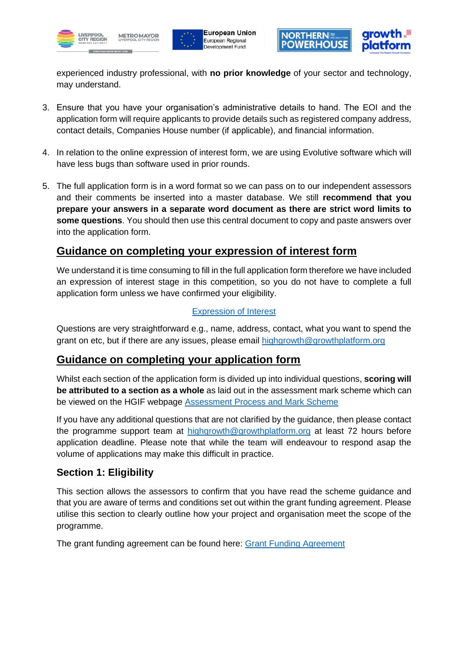





experienced industry professional, with **no prior knowledge** of your sector and technology, may understand.

- 3. Ensure that you have your organisation's administrative details to hand. The EOI and the application form will require applicants to provide details such as registered company address, contact details, Companies House number (if applicable), and financial information.
- 4. In relation to the online expression of interest form, we are using Evolutive software which will have less bugs than software used in prior rounds.
- 5. The full application form is in a word format so we can pass on to our independent assessors and their comments be inserted into a master database. We still **recommend that you prepare your answers in a separate word document as there are strict word limits to some questions**. You should then use this central document to copy and paste answers over into the application form.

### **Guidance on completing your expression of interest form**

We understand it is time consuming to fill in the full application form therefore we have included an expression of interest stage in this competition, so you do not have to complete a full application form unless we have confirmed your eligibility.

#### [Expression of Interest](https://formbuilder.evolutive.co.uk/formsite/form/7960ab75-b859-48f0-a953-bb63f416aeb4?v=true)

Questions are very straightforward e.g., name, address, contact, what you want to spend the grant on etc, but if there are any issues, please email [highgrowth@growthplatform.org](mailto:highgrowth@growthplatform.org)

### **Guidance on completing your application form**

Whilst each section of the application form is divided up into individual questions, **scoring will be attributed to a section as a whole** as laid out in the assessment mark scheme which can be viewed on the HGIF webpage [Assessment Process and Mark Scheme](https://growthplatform.org/wp-content/uploads/2022/05/ASSESSMENT-High-Growth-Programme-HGIF-Assessors-MARK-SCHEME.pdf)

If you have any additional questions that are not clarified by the guidance, then please contact the programme support team at [highgrowth@growthplatform.org](mailto:highgrowth@growthplatform.org) at least 72 hours before application deadline. Please note that while the team will endeavour to respond asap the volume of applications may make this difficult in practice.

### **Section 1: Eligibility**

This section allows the assessors to confirm that you have read the scheme guidance and that you are aware of terms and conditions set out within the grant funding agreement. Please utilise this section to clearly outline how your project and organisation meet the scope of the programme.

The grant funding agreement can be found here: [Grant Funding Agreement](https://growthplatform.org/wp-content/uploads/2022/05/LEGAL-High-Growth-Programme-HGIF-Grant-Funding-Agreement.pdf)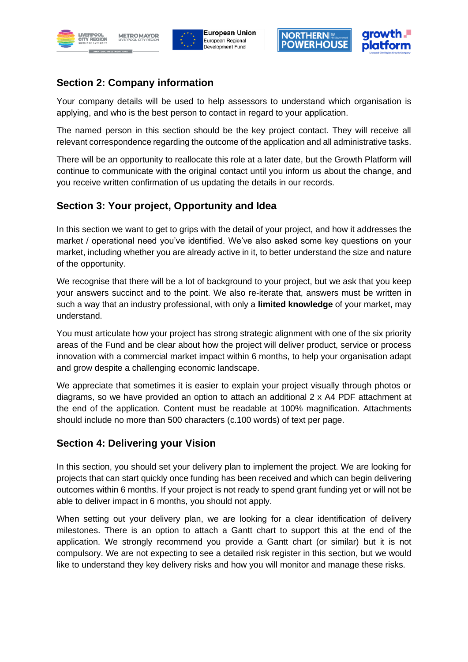







## **Section 2: Company information**

Your company details will be used to help assessors to understand which organisation is applying, and who is the best person to contact in regard to your application.

The named person in this section should be the key project contact. They will receive all relevant correspondence regarding the outcome of the application and all administrative tasks.

There will be an opportunity to reallocate this role at a later date, but the Growth Platform will continue to communicate with the original contact until you inform us about the change, and you receive written confirmation of us updating the details in our records.

## **Section 3: Your project, Opportunity and Idea**

In this section we want to get to grips with the detail of your project, and how it addresses the market / operational need you've identified. We've also asked some key questions on your market, including whether you are already active in it, to better understand the size and nature of the opportunity.

We recognise that there will be a lot of background to your project, but we ask that you keep your answers succinct and to the point. We also re-iterate that, answers must be written in such a way that an industry professional, with only a **limited knowledge** of your market, may understand.

You must articulate how your project has strong strategic alignment with one of the six priority areas of the Fund and be clear about how the project will deliver product, service or process innovation with a commercial market impact within 6 months, to help your organisation adapt and grow despite a challenging economic landscape.

We appreciate that sometimes it is easier to explain your project visually through photos or diagrams, so we have provided an option to attach an additional 2 x A4 PDF attachment at the end of the application. Content must be readable at 100% magnification. Attachments should include no more than 500 characters (c.100 words) of text per page.

#### **Section 4: Delivering your Vision**

In this section, you should set your delivery plan to implement the project. We are looking for projects that can start quickly once funding has been received and which can begin delivering outcomes within 6 months. If your project is not ready to spend grant funding yet or will not be able to deliver impact in 6 months, you should not apply.

When setting out your delivery plan, we are looking for a clear identification of delivery milestones. There is an option to attach a Gantt chart to support this at the end of the application. We strongly recommend you provide a Gantt chart (or similar) but it is not compulsory. We are not expecting to see a detailed risk register in this section, but we would like to understand they key delivery risks and how you will monitor and manage these risks.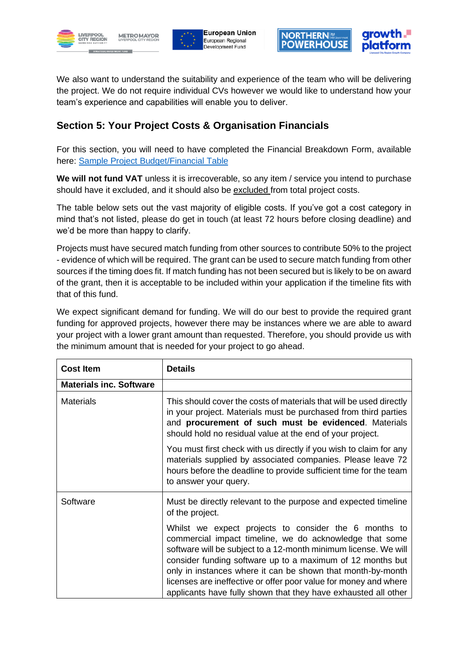







We also want to understand the suitability and experience of the team who will be delivering the project. We do not require individual CVs however we would like to understand how your team's experience and capabilities will enable you to deliver.

## **Section 5: Your Project Costs & Organisation Financials**

For this section, you will need to have completed the Financial Breakdown Form, available here: [Sample Project Budget/Financial Table](https://growthplatform.org/wp-content/uploads/2022/05/APPLICATION-High-Growth-Programme-HGIF-Application-Financial-Annex.pdf)

**We will not fund VAT** unless it is irrecoverable, so any item / service you intend to purchase should have it excluded, and it should also be excluded from total project costs.

The table below sets out the vast majority of eligible costs. If you've got a cost category in mind that's not listed, please do get in touch (at least 72 hours before closing deadline) and we'd be more than happy to clarify.

Projects must have secured match funding from other sources to contribute 50% to the project - evidence of which will be required. The grant can be used to secure match funding from other sources if the timing does fit. If match funding has not been secured but is likely to be on award of the grant, then it is acceptable to be included within your application if the timeline fits with that of this fund.

We expect significant demand for funding. We will do our best to provide the required grant funding for approved projects, however there may be instances where we are able to award your project with a lower grant amount than requested. Therefore, you should provide us with the minimum amount that is needed for your project to go ahead.

| <b>Cost Item</b>               | <b>Details</b>                                                                                                                                                                                                                                                                                                                                                                                                                                         |
|--------------------------------|--------------------------------------------------------------------------------------------------------------------------------------------------------------------------------------------------------------------------------------------------------------------------------------------------------------------------------------------------------------------------------------------------------------------------------------------------------|
| <b>Materials inc. Software</b> |                                                                                                                                                                                                                                                                                                                                                                                                                                                        |
| <b>Materials</b>               | This should cover the costs of materials that will be used directly<br>in your project. Materials must be purchased from third parties<br>and procurement of such must be evidenced. Materials<br>should hold no residual value at the end of your project.                                                                                                                                                                                            |
|                                | You must first check with us directly if you wish to claim for any<br>materials supplied by associated companies. Please leave 72<br>hours before the deadline to provide sufficient time for the team<br>to answer your query.                                                                                                                                                                                                                        |
| Software                       | Must be directly relevant to the purpose and expected timeline<br>of the project.                                                                                                                                                                                                                                                                                                                                                                      |
|                                | Whilst we expect projects to consider the 6 months to<br>commercial impact timeline, we do acknowledge that some<br>software will be subject to a 12-month minimum license. We will<br>consider funding software up to a maximum of 12 months but<br>only in instances where it can be shown that month-by-month<br>licenses are ineffective or offer poor value for money and where<br>applicants have fully shown that they have exhausted all other |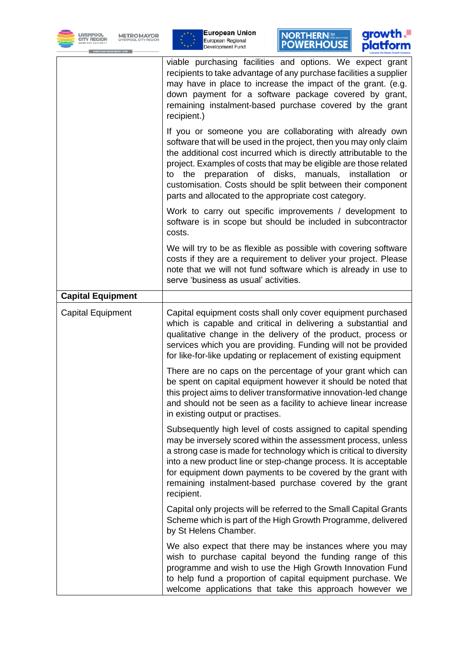









|                          | viable purchasing facilities and options. We expect grant<br>recipients to take advantage of any purchase facilities a supplier<br>may have in place to increase the impact of the grant. (e.g.<br>down payment for a software package covered by grant,<br>remaining instalment-based purchase covered by the grant<br>recipient.)<br>If you or someone you are collaborating with already own<br>software that will be used in the project, then you may only claim<br>the additional cost incurred which is directly attributable to the<br>project. Examples of costs that may be eligible are those related<br>preparation of disks, manuals, installation<br>the<br>to<br>or<br>customisation. Costs should be split between their component |
|--------------------------|----------------------------------------------------------------------------------------------------------------------------------------------------------------------------------------------------------------------------------------------------------------------------------------------------------------------------------------------------------------------------------------------------------------------------------------------------------------------------------------------------------------------------------------------------------------------------------------------------------------------------------------------------------------------------------------------------------------------------------------------------|
|                          | parts and allocated to the appropriate cost category.<br>Work to carry out specific improvements / development to<br>software is in scope but should be included in subcontractor<br>costs.                                                                                                                                                                                                                                                                                                                                                                                                                                                                                                                                                        |
|                          | We will try to be as flexible as possible with covering software<br>costs if they are a requirement to deliver your project. Please<br>note that we will not fund software which is already in use to<br>serve 'business as usual' activities.                                                                                                                                                                                                                                                                                                                                                                                                                                                                                                     |
| <b>Capital Equipment</b> |                                                                                                                                                                                                                                                                                                                                                                                                                                                                                                                                                                                                                                                                                                                                                    |
| <b>Capital Equipment</b> | Capital equipment costs shall only cover equipment purchased<br>which is capable and critical in delivering a substantial and<br>qualitative change in the delivery of the product, process or<br>services which you are providing. Funding will not be provided<br>for like-for-like updating or replacement of existing equipment                                                                                                                                                                                                                                                                                                                                                                                                                |
|                          | There are no caps on the percentage of your grant which can<br>be spent on capital equipment however it should be noted that<br>this project aims to deliver transformative innovation-led change<br>and should not be seen as a facility to achieve linear increase<br>in existing output or practises.                                                                                                                                                                                                                                                                                                                                                                                                                                           |
|                          | Subsequently high level of costs assigned to capital spending<br>may be inversely scored within the assessment process, unless<br>a strong case is made for technology which is critical to diversity<br>into a new product line or step-change process. It is acceptable<br>for equipment down payments to be covered by the grant with<br>remaining instalment-based purchase covered by the grant<br>recipient.                                                                                                                                                                                                                                                                                                                                 |
|                          | Capital only projects will be referred to the Small Capital Grants<br>Scheme which is part of the High Growth Programme, delivered<br>by St Helens Chamber.                                                                                                                                                                                                                                                                                                                                                                                                                                                                                                                                                                                        |
|                          | We also expect that there may be instances where you may<br>wish to purchase capital beyond the funding range of this<br>programme and wish to use the High Growth Innovation Fund<br>to help fund a proportion of capital equipment purchase. We<br>welcome applications that take this approach however we                                                                                                                                                                                                                                                                                                                                                                                                                                       |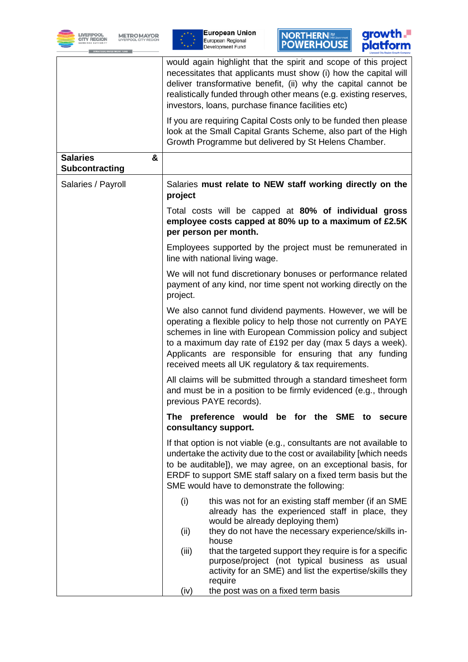







|                                               | would again highlight that the spirit and scope of this project<br>necessitates that applicants must show (i) how the capital will<br>deliver transformative benefit, (ii) why the capital cannot be<br>realistically funded through other means (e.g. existing reserves,<br>investors, loans, purchase finance facilities etc)                                                |
|-----------------------------------------------|--------------------------------------------------------------------------------------------------------------------------------------------------------------------------------------------------------------------------------------------------------------------------------------------------------------------------------------------------------------------------------|
|                                               | If you are requiring Capital Costs only to be funded then please<br>look at the Small Capital Grants Scheme, also part of the High<br>Growth Programme but delivered by St Helens Chamber.                                                                                                                                                                                     |
| <b>Salaries</b><br>&<br><b>Subcontracting</b> |                                                                                                                                                                                                                                                                                                                                                                                |
| Salaries / Payroll                            | Salaries must relate to NEW staff working directly on the<br>project                                                                                                                                                                                                                                                                                                           |
|                                               | Total costs will be capped at 80% of individual gross<br>employee costs capped at 80% up to a maximum of £2.5K<br>per person per month.                                                                                                                                                                                                                                        |
|                                               | Employees supported by the project must be remunerated in<br>line with national living wage.                                                                                                                                                                                                                                                                                   |
|                                               | We will not fund discretionary bonuses or performance related<br>payment of any kind, nor time spent not working directly on the<br>project.                                                                                                                                                                                                                                   |
|                                               | We also cannot fund dividend payments. However, we will be<br>operating a flexible policy to help those not currently on PAYE<br>schemes in line with European Commission policy and subject<br>to a maximum day rate of £192 per day (max 5 days a week).<br>Applicants are responsible for ensuring that any funding<br>received meets all UK regulatory & tax requirements. |
|                                               | All claims will be submitted through a standard timesheet form<br>and must be in a position to be firmly evidenced (e.g., through<br>previous PAYE records).                                                                                                                                                                                                                   |
|                                               | The preference would be for the SME<br>to<br>secure<br>consultancy support.                                                                                                                                                                                                                                                                                                    |
|                                               | If that option is not viable (e.g., consultants are not available to<br>undertake the activity due to the cost or availability [which needs<br>to be auditable]), we may agree, on an exceptional basis, for<br>ERDF to support SME staff salary on a fixed term basis but the<br>SME would have to demonstrate the following:                                                 |
|                                               | (i)<br>this was not for an existing staff member (if an SME<br>already has the experienced staff in place, they<br>would be already deploying them)<br>they do not have the necessary experience/skills in-<br>(ii)                                                                                                                                                            |
|                                               | house<br>(iii)<br>that the targeted support they require is for a specific<br>purpose/project (not typical business as usual<br>activity for an SME) and list the expertise/skills they                                                                                                                                                                                        |
|                                               | require<br>(iv)<br>the post was on a fixed term basis                                                                                                                                                                                                                                                                                                                          |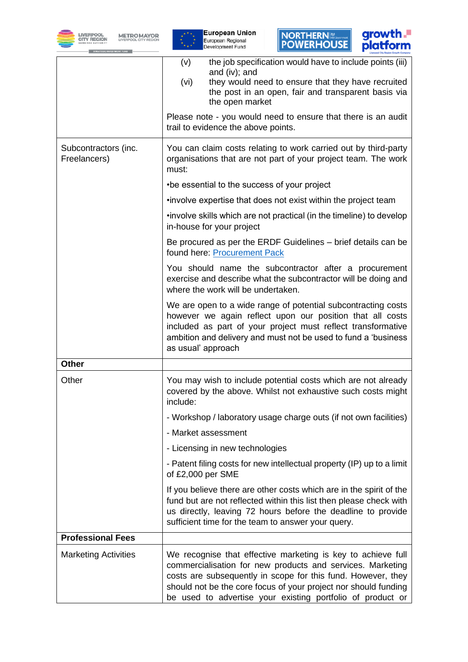





|                                      | the job specification would have to include points (iii)<br>(v)<br>and (iv); and<br>they would need to ensure that they have recruited<br>(vi)<br>the post in an open, fair and transparent basis via<br>the open market<br>Please note - you would need to ensure that there is an audit                                   |
|--------------------------------------|-----------------------------------------------------------------------------------------------------------------------------------------------------------------------------------------------------------------------------------------------------------------------------------------------------------------------------|
|                                      | trail to evidence the above points.                                                                                                                                                                                                                                                                                         |
| Subcontractors (inc.<br>Freelancers) | You can claim costs relating to work carried out by third-party<br>organisations that are not part of your project team. The work<br>must:                                                                                                                                                                                  |
|                                      | •be essential to the success of your project                                                                                                                                                                                                                                                                                |
|                                      | .involve expertise that does not exist within the project team                                                                                                                                                                                                                                                              |
|                                      | .involve skills which are not practical (in the timeline) to develop<br>in-house for your project                                                                                                                                                                                                                           |
|                                      | Be procured as per the ERDF Guidelines – brief details can be<br>found here: Procurement Pack                                                                                                                                                                                                                               |
|                                      | You should name the subcontractor after a procurement<br>exercise and describe what the subcontractor will be doing and<br>where the work will be undertaken.                                                                                                                                                               |
|                                      | We are open to a wide range of potential subcontracting costs<br>however we again reflect upon our position that all costs<br>included as part of your project must reflect transformative<br>ambition and delivery and must not be used to fund a 'business<br>as usual' approach                                          |
| <b>Other</b>                         |                                                                                                                                                                                                                                                                                                                             |
| Other                                | You may wish to include potential costs which are not already<br>covered by the above. Whilst not exhaustive such costs might<br>include:                                                                                                                                                                                   |
|                                      | - Workshop / laboratory usage charge outs (if not own facilities)                                                                                                                                                                                                                                                           |
|                                      | - Market assessment                                                                                                                                                                                                                                                                                                         |
|                                      | - Licensing in new technologies                                                                                                                                                                                                                                                                                             |
|                                      | - Patent filing costs for new intellectual property (IP) up to a limit<br>of £2,000 per SME                                                                                                                                                                                                                                 |
|                                      | If you believe there are other costs which are in the spirit of the<br>fund but are not reflected within this list then please check with<br>us directly, leaving 72 hours before the deadline to provide<br>sufficient time for the team to answer your query.                                                             |
| <b>Professional Fees</b>             |                                                                                                                                                                                                                                                                                                                             |
| <b>Marketing Activities</b>          | We recognise that effective marketing is key to achieve full<br>commercialisation for new products and services. Marketing<br>costs are subsequently in scope for this fund. However, they<br>should not be the core focus of your project nor should funding<br>be used to advertise your existing portfolio of product or |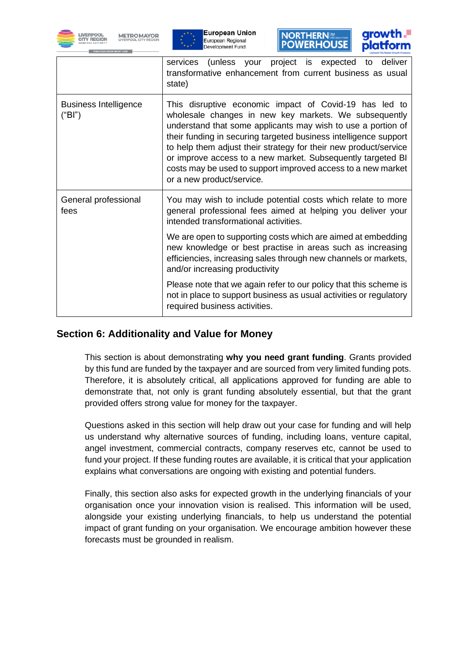







|                                        | (unless your project is expected to deliver<br>services<br>transformative enhancement from current business as usual<br>state)                                                                                                                                                                                                                                                                                                                                                      |
|----------------------------------------|-------------------------------------------------------------------------------------------------------------------------------------------------------------------------------------------------------------------------------------------------------------------------------------------------------------------------------------------------------------------------------------------------------------------------------------------------------------------------------------|
| <b>Business Intelligence</b><br>("BI") | This disruptive economic impact of Covid-19 has led to<br>wholesale changes in new key markets. We subsequently<br>understand that some applicants may wish to use a portion of<br>their funding in securing targeted business intelligence support<br>to help them adjust their strategy for their new product/service<br>or improve access to a new market. Subsequently targeted BI<br>costs may be used to support improved access to a new market<br>or a new product/service. |
| General professional<br>fees           | You may wish to include potential costs which relate to more<br>general professional fees aimed at helping you deliver your<br>intended transformational activities.                                                                                                                                                                                                                                                                                                                |
|                                        | We are open to supporting costs which are aimed at embedding<br>new knowledge or best practise in areas such as increasing<br>efficiencies, increasing sales through new channels or markets,<br>and/or increasing productivity                                                                                                                                                                                                                                                     |
|                                        | Please note that we again refer to our policy that this scheme is<br>not in place to support business as usual activities or regulatory<br>required business activities.                                                                                                                                                                                                                                                                                                            |

#### **Section 6: Additionality and Value for Money**

This section is about demonstrating **why you need grant funding**. Grants provided by this fund are funded by the taxpayer and are sourced from very limited funding pots. Therefore, it is absolutely critical, all applications approved for funding are able to demonstrate that, not only is grant funding absolutely essential, but that the grant provided offers strong value for money for the taxpayer.

Questions asked in this section will help draw out your case for funding and will help us understand why alternative sources of funding, including loans, venture capital, angel investment, commercial contracts, company reserves etc, cannot be used to fund your project. If these funding routes are available, it is critical that your application explains what conversations are ongoing with existing and potential funders.

Finally, this section also asks for expected growth in the underlying financials of your organisation once your innovation vision is realised. This information will be used, alongside your existing underlying financials, to help us understand the potential impact of grant funding on your organisation. We encourage ambition however these forecasts must be grounded in realism.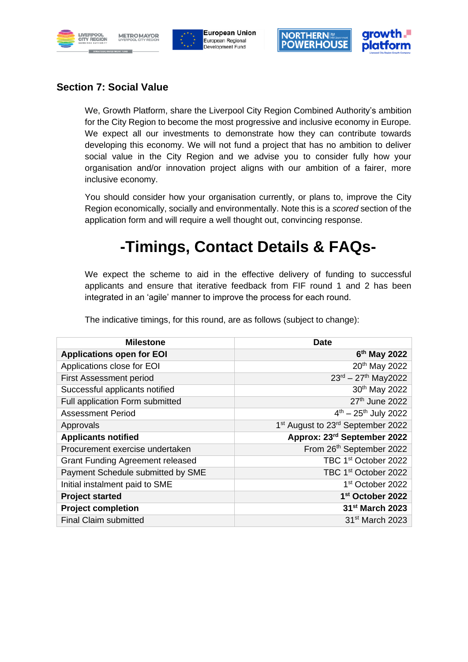







#### **Section 7: Social Value**

We, Growth Platform, share the Liverpool City Region Combined Authority's ambition for the City Region to become the most progressive and inclusive economy in Europe. We expect all our investments to demonstrate how they can contribute towards developing this economy. We will not fund a project that has no ambition to deliver social value in the City Region and we advise you to consider fully how your organisation and/or innovation project aligns with our ambition of a fairer, more inclusive economy.

You should consider how your organisation currently, or plans to, improve the City Region economically, socially and environmentally. Note this is a *scored* section of the application form and will require a well thought out, convincing response.

# **-Timings, Contact Details & FAQs-**

We expect the scheme to aid in the effective delivery of funding to successful applicants and ensure that iterative feedback from FIF round 1 and 2 has been integrated in an 'agile' manner to improve the process for each round.

| Milestone                | <b>Date</b>          |
|--------------------------|----------------------|
| pplications open for EOI | 6 <sup>th</sup> May  |
| plications close for EOI | 20 <sup>th</sup> May |

The indicative timings, for this round, are as follows (subject to change):

| <b>Applications open for EOI</b>        | 6 <sup>th</sup> May 2022                                  |
|-----------------------------------------|-----------------------------------------------------------|
| Applications close for EOI              | 20 <sup>th</sup> May 2022                                 |
| <b>First Assessment period</b>          | $23^{rd} - 27^{th}$ May2022                               |
| Successful applicants notified          | 30th May 2022                                             |
| Full application Form submitted         | 27th June 2022                                            |
| <b>Assessment Period</b>                | $4^{th} - 25^{th}$ July 2022                              |
| Approvals                               | 1 <sup>st</sup> August to 23 <sup>rd</sup> September 2022 |
| <b>Applicants notified</b>              | Approx: 23rd September 2022                               |
| Procurement exercise undertaken         | From 26th September 2022                                  |
| <b>Grant Funding Agreement released</b> | TBC 1 <sup>st</sup> October 2022                          |
| Payment Schedule submitted by SME       | TBC 1 <sup>st</sup> October 2022                          |
| Initial instalment paid to SME          | 1 <sup>st</sup> October 2022                              |
| <b>Project started</b>                  | 1 <sup>st</sup> October 2022                              |
| <b>Project completion</b>               | 31 <sup>st</sup> March 2023                               |
| <b>Final Claim submitted</b>            | 31 <sup>st</sup> March 2023                               |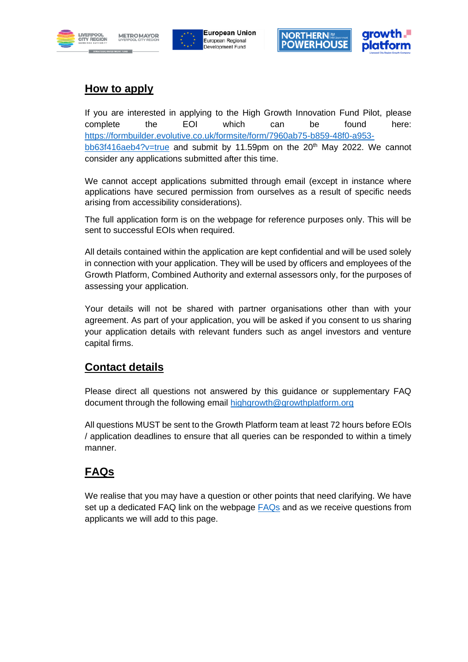







## **How to apply**

If you are interested in applying to the High Growth Innovation Fund Pilot, please complete the EOI which can be found here: [https://formbuilder.evolutive.co.uk/formsite/form/7960ab75-b859-48f0-a953](https://formbuilder.evolutive.co.uk/formsite/form/7960ab75-b859-48f0-a953-bb63f416aeb4?v=true) [bb63f416aeb4?v=true](https://formbuilder.evolutive.co.uk/formsite/form/7960ab75-b859-48f0-a953-bb63f416aeb4?v=true) and submit by 11.59pm on the  $20<sup>th</sup>$  May 2022. We cannot consider any applications submitted after this time.

We cannot accept applications submitted through email (except in instance where applications have secured permission from ourselves as a result of specific needs arising from accessibility considerations).

The full application form is on the webpage for reference purposes only. This will be sent to successful EOIs when required.

All details contained within the application are kept confidential and will be used solely in connection with your application. They will be used by officers and employees of the Growth Platform, Combined Authority and external assessors only, for the purposes of assessing your application.

Your details will not be shared with partner organisations other than with your agreement. As part of your application, you will be asked if you consent to us sharing your application details with relevant funders such as angel investors and venture capital firms.

## **Contact details**

Please direct all questions not answered by this guidance or supplementary FAQ document through the following email [highgrowth@growthplatform.org](mailto:highgrowth@growthplatform.org)

All questions MUST be sent to the Growth Platform team at least 72 hours before EOIs / application deadlines to ensure that all queries can be responded to within a timely manner.

## **FAQs**

We realise that you may have a question or other points that need clarifying. We have set up a dedicated FAQ link on the webpage [FAQs](https://growthplatform.org/high-growth-innovation-fund-faqs/) and as we receive questions from applicants we will add to this page.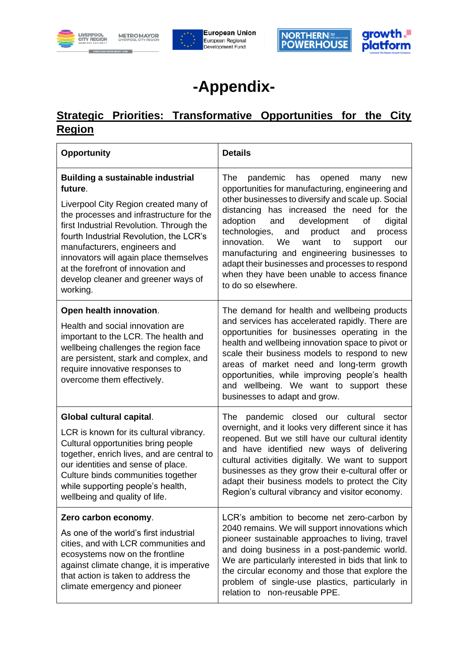







# **-Appendix-**

# **Strategic Priorities: Transformative Opportunities for the City Region**

| <b>Opportunity</b>                                                                                                                                                                                                                                                                                                                                                                                 | <b>Details</b>                                                                                                                                                                                                                                                                                                                                                                                                                                                                                                                               |
|----------------------------------------------------------------------------------------------------------------------------------------------------------------------------------------------------------------------------------------------------------------------------------------------------------------------------------------------------------------------------------------------------|----------------------------------------------------------------------------------------------------------------------------------------------------------------------------------------------------------------------------------------------------------------------------------------------------------------------------------------------------------------------------------------------------------------------------------------------------------------------------------------------------------------------------------------------|
| <b>Building a sustainable industrial</b><br>future.<br>Liverpool City Region created many of<br>the processes and infrastructure for the<br>first Industrial Revolution. Through the<br>fourth Industrial Revolution, the LCR's<br>manufacturers, engineers and<br>innovators will again place themselves<br>at the forefront of innovation and<br>develop cleaner and greener ways of<br>working. | The<br>pandemic<br>has<br>opened<br>many<br>new<br>opportunities for manufacturing, engineering and<br>other businesses to diversify and scale up. Social<br>distancing has increased the need for the<br>adoption<br>development<br>and<br>digital<br>οf<br>technologies,<br>and<br>product<br>process<br>and<br>innovation.<br>We<br>want<br>to<br>support<br>our<br>manufacturing and engineering businesses to<br>adapt their businesses and processes to respond<br>when they have been unable to access finance<br>to do so elsewhere. |
| Open health innovation.<br>Health and social innovation are<br>important to the LCR. The health and<br>wellbeing challenges the region face<br>are persistent, stark and complex, and<br>require innovative responses to<br>overcome them effectively.                                                                                                                                             | The demand for health and wellbeing products<br>and services has accelerated rapidly. There are<br>opportunities for businesses operating in the<br>health and wellbeing innovation space to pivot or<br>scale their business models to respond to new<br>areas of market need and long-term growth<br>opportunities, while improving people's health<br>and wellbeing. We want to support these<br>businesses to adapt and grow.                                                                                                            |
| Global cultural capital.<br>LCR is known for its cultural vibrancy.<br>Cultural opportunities bring people<br>together, enrich lives, and are central to<br>our identities and sense of place.<br>Culture binds communities together<br>while supporting people's health,<br>wellbeing and quality of life.                                                                                        | pandemic closed our cultural<br>The<br>sector<br>overnight, and it looks very different since it has<br>reopened. But we still have our cultural identity<br>and have identified new ways of delivering<br>cultural activities digitally. We want to support<br>businesses as they grow their e-cultural offer or<br>adapt their business models to protect the City<br>Region's cultural vibrancy and visitor economy.                                                                                                                      |
| Zero carbon economy.<br>As one of the world's first industrial<br>cities, and with LCR communities and<br>ecosystems now on the frontline<br>against climate change, it is imperative<br>that action is taken to address the<br>climate emergency and pioneer                                                                                                                                      | LCR's ambition to become net zero-carbon by<br>2040 remains. We will support innovations which<br>pioneer sustainable approaches to living, travel<br>and doing business in a post-pandemic world.<br>We are particularly interested in bids that link to<br>the circular economy and those that explore the<br>problem of single-use plastics, particularly in<br>relation to non-reusable PPE.                                                                                                                                             |